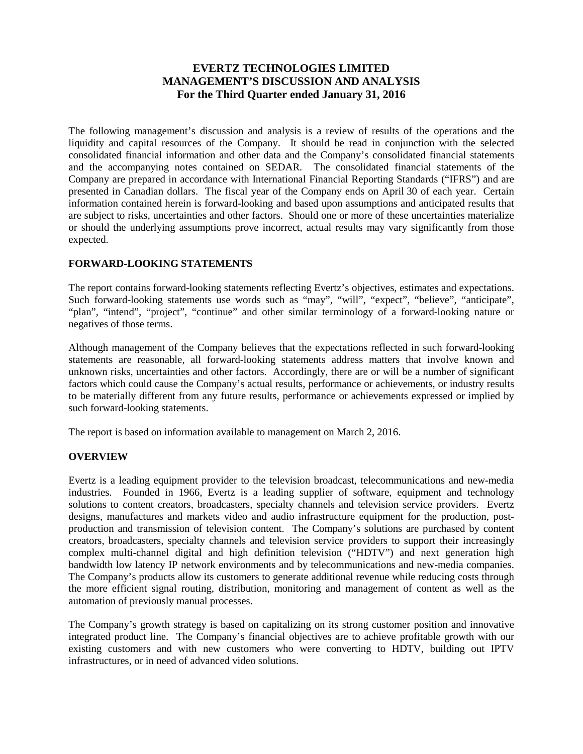# **EVERTZ TECHNOLOGIES LIMITED MANAGEMENT'S DISCUSSION AND ANALYSIS For the Third Quarter ended January 31, 2016**

The following management's discussion and analysis is a review of results of the operations and the liquidity and capital resources of the Company. It should be read in conjunction with the selected consolidated financial information and other data and the Company's consolidated financial statements and the accompanying notes contained on SEDAR. The consolidated financial statements of the Company are prepared in accordance with International Financial Reporting Standards ("IFRS") and are presented in Canadian dollars. The fiscal year of the Company ends on April 30 of each year. Certain information contained herein is forward-looking and based upon assumptions and anticipated results that are subject to risks, uncertainties and other factors. Should one or more of these uncertainties materialize or should the underlying assumptions prove incorrect, actual results may vary significantly from those expected.

### **FORWARD-LOOKING STATEMENTS**

The report contains forward-looking statements reflecting Evertz's objectives, estimates and expectations. Such forward-looking statements use words such as "may", "will", "expect", "believe", "anticipate", "plan", "intend", "project", "continue" and other similar terminology of a forward-looking nature or negatives of those terms.

Although management of the Company believes that the expectations reflected in such forward-looking statements are reasonable, all forward-looking statements address matters that involve known and unknown risks, uncertainties and other factors. Accordingly, there are or will be a number of significant factors which could cause the Company's actual results, performance or achievements, or industry results to be materially different from any future results, performance or achievements expressed or implied by such forward-looking statements.

The report is based on information available to management on March 2, 2016.

### **OVERVIEW**

Evertz is a leading equipment provider to the television broadcast, telecommunications and new-media industries. Founded in 1966, Evertz is a leading supplier of software, equipment and technology solutions to content creators, broadcasters, specialty channels and television service providers. Evertz designs, manufactures and markets video and audio infrastructure equipment for the production, postproduction and transmission of television content. The Company's solutions are purchased by content creators, broadcasters, specialty channels and television service providers to support their increasingly complex multi-channel digital and high definition television ("HDTV") and next generation high bandwidth low latency IP network environments and by telecommunications and new-media companies. The Company's products allow its customers to generate additional revenue while reducing costs through the more efficient signal routing, distribution, monitoring and management of content as well as the automation of previously manual processes.

The Company's growth strategy is based on capitalizing on its strong customer position and innovative integrated product line. The Company's financial objectives are to achieve profitable growth with our existing customers and with new customers who were converting to HDTV, building out IPTV infrastructures, or in need of advanced video solutions.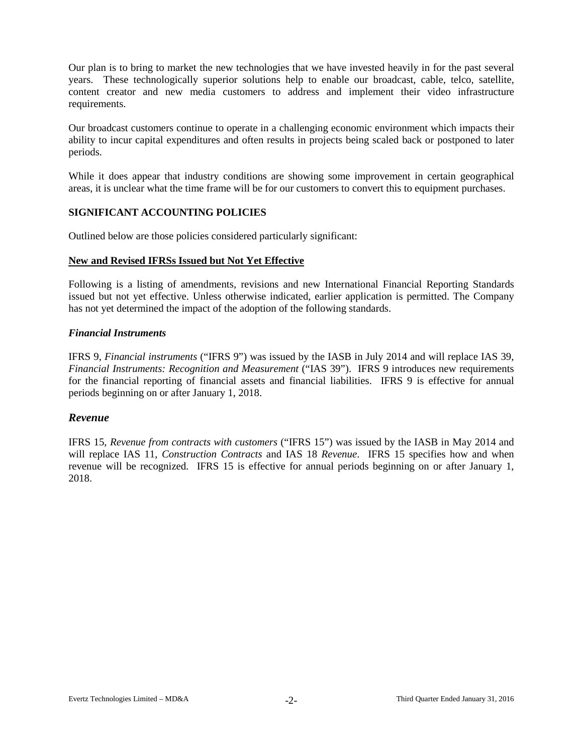Our plan is to bring to market the new technologies that we have invested heavily in for the past several years. These technologically superior solutions help to enable our broadcast, cable, telco, satellite, content creator and new media customers to address and implement their video infrastructure requirements.

Our broadcast customers continue to operate in a challenging economic environment which impacts their ability to incur capital expenditures and often results in projects being scaled back or postponed to later periods.

While it does appear that industry conditions are showing some improvement in certain geographical areas, it is unclear what the time frame will be for our customers to convert this to equipment purchases.

### **SIGNIFICANT ACCOUNTING POLICIES**

Outlined below are those policies considered particularly significant:

#### **New and Revised IFRSs Issued but Not Yet Effective**

Following is a listing of amendments, revisions and new International Financial Reporting Standards issued but not yet effective. Unless otherwise indicated, earlier application is permitted. The Company has not yet determined the impact of the adoption of the following standards.

## *Financial Instruments*

IFRS 9, *Financial instruments* ("IFRS 9") was issued by the IASB in July 2014 and will replace IAS 39, *Financial Instruments: Recognition and Measurement* ("IAS 39"). IFRS 9 introduces new requirements for the financial reporting of financial assets and financial liabilities. IFRS 9 is effective for annual periods beginning on or after January 1, 2018.

### *Revenue*

IFRS 15, *Revenue from contracts with customers* ("IFRS 15") was issued by the IASB in May 2014 and will replace IAS 11, *Construction Contracts* and IAS 18 *Revenue*. IFRS 15 specifies how and when revenue will be recognized. IFRS 15 is effective for annual periods beginning on or after January 1, 2018.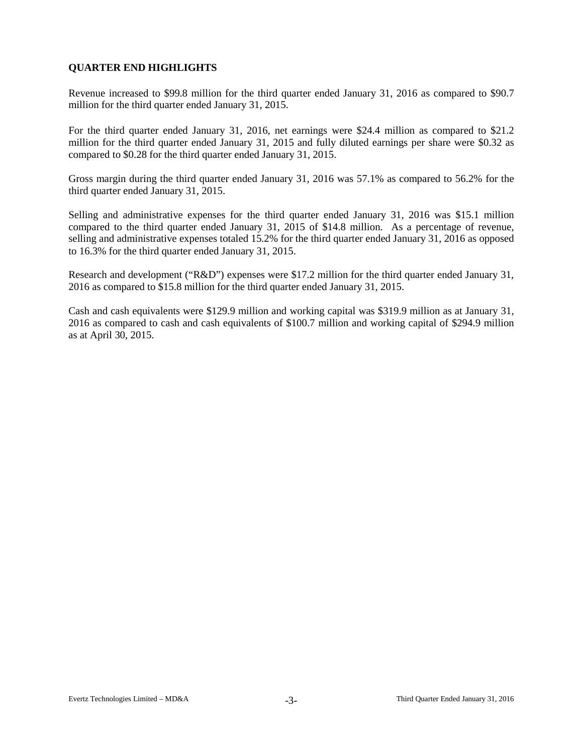# **QUARTER END HIGHLIGHTS**

Revenue increased to \$99.8 million for the third quarter ended January 31, 2016 as compared to \$90.7 million for the third quarter ended January 31, 2015.

For the third quarter ended January 31, 2016, net earnings were \$24.4 million as compared to \$21.2 million for the third quarter ended January 31, 2015 and fully diluted earnings per share were \$0.32 as compared to \$0.28 for the third quarter ended January 31, 2015.

Gross margin during the third quarter ended January 31, 2016 was 57.1% as compared to 56.2% for the third quarter ended January 31, 2015.

Selling and administrative expenses for the third quarter ended January 31, 2016 was \$15.1 million compared to the third quarter ended January 31, 2015 of \$14.8 million. As a percentage of revenue, selling and administrative expenses totaled 15.2% for the third quarter ended January 31, 2016 as opposed to 16.3% for the third quarter ended January 31, 2015.

Research and development ("R&D") expenses were \$17.2 million for the third quarter ended January 31, 2016 as compared to \$15.8 million for the third quarter ended January 31, 2015.

Cash and cash equivalents were \$129.9 million and working capital was \$319.9 million as at January 31, 2016 as compared to cash and cash equivalents of \$100.7 million and working capital of \$294.9 million as at April 30, 2015.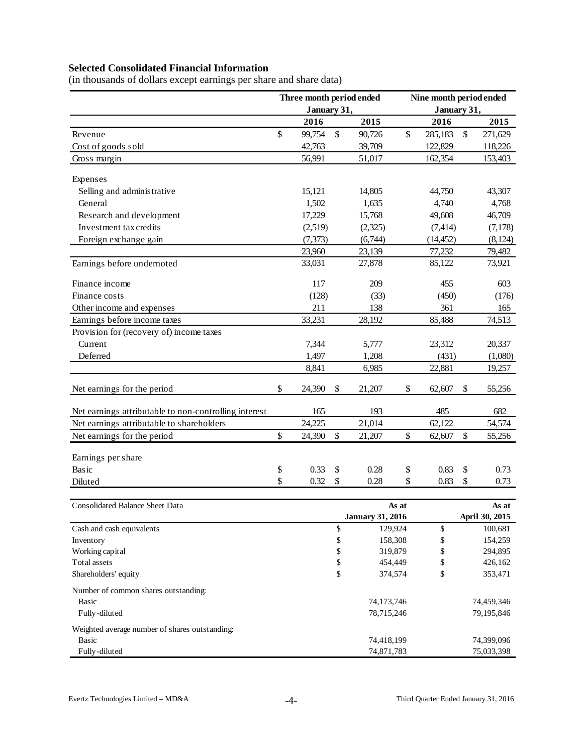# **Selected Consolidated Financial Information**

(in thousands of dollars except earnings per share and share data)

|                                                       | Three month period ended |               |                         |       | Nine month period ended |                |
|-------------------------------------------------------|--------------------------|---------------|-------------------------|-------|-------------------------|----------------|
|                                                       | January 31,              |               |                         |       | January 31,             |                |
|                                                       | 2016                     |               | 2015                    |       | 2016                    | 2015           |
| Revenue                                               | \$<br>99,754             | \$            | 90,726                  | \$    | 285,183                 | \$<br>271,629  |
| Cost of goods sold                                    | 42,763                   |               | 39,709                  |       | 122,829                 | 118,226        |
| Gross margin                                          | 56,991                   |               | 51,017                  |       | 162,354                 | 153,403        |
|                                                       |                          |               |                         |       |                         |                |
| Expenses                                              |                          |               |                         |       |                         |                |
| Selling and administrative                            | 15,121                   |               | 14,805                  |       | 44,750                  | 43,307         |
| General                                               | 1,502                    |               | 1,635                   |       | 4,740                   | 4,768          |
| Research and development                              | 17,229                   |               | 15,768                  |       | 49,608                  | 46,709         |
| Investment tax credits                                | (2,519)                  |               | (2,325)                 |       | (7, 414)                | (7,178)        |
| Foreign exchange gain                                 | (7, 373)                 |               | (6,744)                 |       | (14, 452)               | (8, 124)       |
|                                                       | 23,960                   |               | 23,139                  |       | 77,232                  | 79,482         |
| Earnings before undernoted                            | 33,031                   |               | 27,878                  |       | 85,122                  | 73,921         |
| Finance income                                        | 117                      |               | 209                     |       | 455                     | 603            |
| Finance costs                                         | (128)                    |               | (33)                    |       | (450)                   | (176)          |
| Other income and expenses                             | 211                      |               | 138                     |       | 361                     | 165            |
| Earnings before income taxes                          | 33,231                   |               | 28,192                  |       | 85,488                  | 74,513         |
| Provision for (recovery of) income taxes              |                          |               |                         |       |                         |                |
| Current                                               | 7,344                    |               | 5,777                   |       | 23,312                  | 20,337         |
| Deferred                                              | 1,497                    |               | 1,208                   |       | (431)                   | (1,080)        |
|                                                       | 8,841                    |               | 6,985                   |       | 22,881                  | 19,257         |
| Net earnings for the period                           | \$<br>24,390             | \$            | 21,207                  | \$    | 62,607                  | \$<br>55,256   |
| Net earnings attributable to non-controlling interest | 165                      |               | 193                     |       | 485                     | 682            |
| Net earnings attributable to shareholders             | 24,225                   |               | 21,014                  |       | 62,122                  | 54,574         |
| Net earnings for the period                           | \$<br>24,390             | $\mathsf{\$}$ | 21,207                  | \$    | 62,607                  | \$<br>55,256   |
|                                                       |                          |               |                         |       |                         |                |
| Earnings per share                                    |                          |               |                         |       |                         |                |
| Basic                                                 | \$<br>0.33               | \$            | 0.28                    | \$    | 0.83                    | \$<br>0.73     |
| Diluted                                               | \$<br>0.32               | \$            | 0.28                    | \$    | 0.83                    | \$<br>0.73     |
| <b>Consolidated Balance Sheet Data</b>                |                          |               |                         | As at |                         | As at          |
|                                                       |                          |               | <b>January 31, 2016</b> |       |                         | April 30, 2015 |
| Cash and cash equivalents                             |                          | \$            | 129,924                 |       | \$                      | 100,681        |
| Inventory                                             |                          | \$            | 158,308                 |       | \$                      | 154,259        |
| Working capital                                       |                          | \$            | 319,879                 |       | \$                      | 294,895        |
| Total assets                                          |                          | \$            | 454,449                 |       | \$                      | 426,162        |
| Shareholders' equity                                  |                          | \$            | 374,574                 |       | \$                      | 353,471        |
| Number of common shares outstanding:                  |                          |               |                         |       |                         |                |
| <b>Basic</b>                                          |                          |               | 74,173,746              |       |                         | 74,459,346     |
| Fully-diluted                                         |                          |               | 78,715,246              |       |                         | 79,195,846     |
| Weighted average number of shares outstanding:        |                          |               |                         |       |                         |                |
| <b>Basic</b>                                          |                          |               | 74,418,199              |       |                         | 74,399,096     |
| Fully-diluted                                         |                          |               | 74,871,783              |       |                         | 75,033,398     |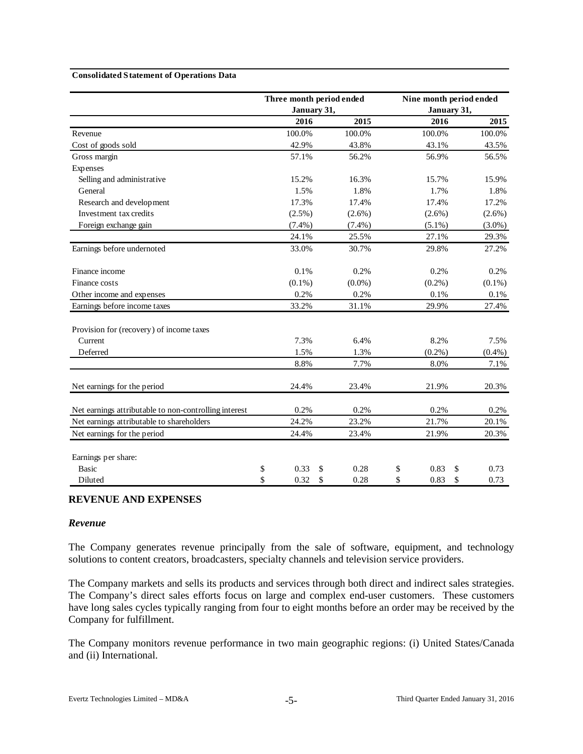#### **Consolidated Statement of Operations Data**

|                                                       |             | Three month period ended | Nine month period ended |           |  |  |
|-------------------------------------------------------|-------------|--------------------------|-------------------------|-----------|--|--|
|                                                       | January 31, |                          | January 31,             |           |  |  |
|                                                       | 2016        | 2015                     | 2016                    | 2015      |  |  |
| Revenue                                               | 100.0%      | 100.0%                   | 100.0%                  | 100.0%    |  |  |
| Cost of goods sold                                    | 42.9%       | 43.8%                    | 43.1%                   | 43.5%     |  |  |
| Gross margin                                          | 57.1%       | 56.2%                    | 56.9%                   | 56.5%     |  |  |
| Expenses                                              |             |                          |                         |           |  |  |
| Selling and administrative                            | 15.2%       | 16.3%                    | 15.7%                   | 15.9%     |  |  |
| General                                               | 1.5%        | 1.8%                     | 1.7%                    | 1.8%      |  |  |
| Research and development                              | 17.3%       | 17.4%                    | 17.4%                   | 17.2%     |  |  |
| Investment tax credits                                | $(2.5\%)$   | $(2.6\%)$                | $(2.6\%)$               | $(2.6\%)$ |  |  |
| Foreign exchange gain                                 | $(7.4\%)$   | $(7.4\%)$                | $(5.1\%)$               | $(3.0\%)$ |  |  |
|                                                       | 24.1%       | 25.5%                    | 27.1%                   | 29.3%     |  |  |
| Earnings before undernoted                            | 33.0%       | 30.7%                    | 29.8%                   | 27.2%     |  |  |
| Finance income                                        | 0.1%        | 0.2%                     | 0.2%                    | 0.2%      |  |  |
| Finance costs                                         | $(0.1\%)$   | $(0.0\%)$                | $(0.2\%)$               | $(0.1\%)$ |  |  |
| Other income and expenses                             | 0.2%        | 0.2%                     | 0.1%                    | 0.1%      |  |  |
| Earnings before income taxes                          | 33.2%       | 31.1%                    | 29.9%                   | 27.4%     |  |  |
| Provision for (recovery) of income taxes              |             |                          |                         |           |  |  |
| Current                                               | 7.3%        | 6.4%                     | 8.2%                    | 7.5%      |  |  |
| Deferred                                              | 1.5%        | 1.3%                     | $(0.2\%)$               | $(0.4\%)$ |  |  |
|                                                       | 8.8%        | 7.7%                     | 8.0%                    | 7.1%      |  |  |
| Net earnings for the period                           | 24.4%       | 23.4%                    | 21.9%                   | 20.3%     |  |  |
| Net earnings attributable to non-controlling interest | 0.2%        | 0.2%                     | 0.2%                    | 0.2%      |  |  |
| Net earnings attributable to shareholders             | 24.2%       | 23.2%                    | 21.7%                   | 20.1%     |  |  |
| Net earnings for the period                           | 24.4%       | 23.4%                    | 21.9%                   | 20.3%     |  |  |
| Earnings per share:                                   |             |                          |                         |           |  |  |
| <b>Basic</b>                                          | \$<br>0.33  | \$<br>0.28               | \$<br>0.83<br>\$        | 0.73      |  |  |
| Diluted                                               | \$<br>0.32  | \$<br>0.28               | \$<br>\$<br>0.83        | 0.73      |  |  |

#### **REVENUE AND EXPENSES**

### *Revenue*

The Company generates revenue principally from the sale of software, equipment, and technology solutions to content creators, broadcasters, specialty channels and television service providers.

The Company markets and sells its products and services through both direct and indirect sales strategies. The Company's direct sales efforts focus on large and complex end-user customers. These customers have long sales cycles typically ranging from four to eight months before an order may be received by the Company for fulfillment.

The Company monitors revenue performance in two main geographic regions: (i) United States/Canada and (ii) International.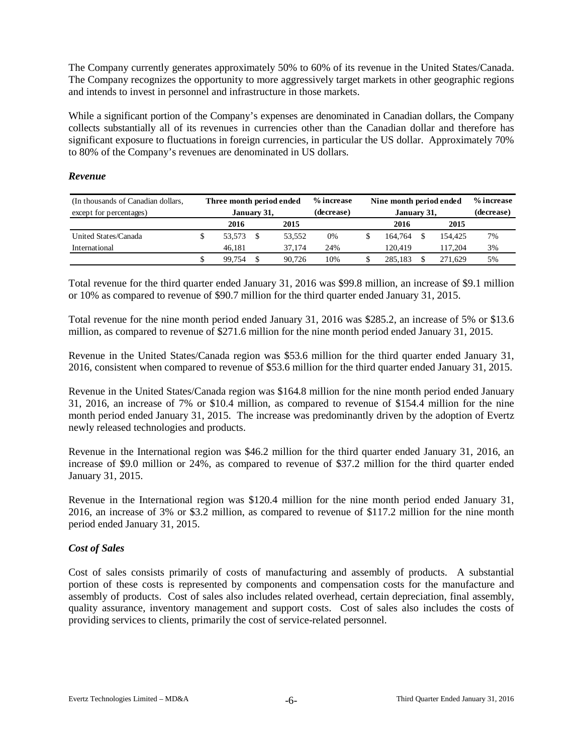The Company currently generates approximately 50% to 60% of its revenue in the United States/Canada. The Company recognizes the opportunity to more aggressively target markets in other geographic regions and intends to invest in personnel and infrastructure in those markets.

While a significant portion of the Company's expenses are denominated in Canadian dollars, the Company collects substantially all of its revenues in currencies other than the Canadian dollar and therefore has significant exposure to fluctuations in foreign currencies, in particular the US dollar. Approximately 70% to 80% of the Company's revenues are denominated in US dollars.

### *Revenue*

| (In thousands of Canadian dollars, | Three month period ended |              |  |        | % increase | Nine month period ended |  | % increase |    |  |
|------------------------------------|--------------------------|--------------|--|--------|------------|-------------------------|--|------------|----|--|
| except for percentages)            | January 31,              |              |  |        | (decrease) | January 31,             |  | (decrease) |    |  |
|                                    |                          | 2015<br>2016 |  |        |            | 2016                    |  | 2015       |    |  |
| United States/Canada               | \$                       | 53.573       |  | 53.552 | 0%         | 164.764                 |  | 154.425    | 7% |  |
| International                      |                          | 46.181       |  | 37.174 | 24%        | 120.419                 |  | 117.204    | 3% |  |
|                                    |                          | 99.754       |  | 90.726 | 10%        | 285.183                 |  | 271.629    | 5% |  |

Total revenue for the third quarter ended January 31, 2016 was \$99.8 million, an increase of \$9.1 million or 10% as compared to revenue of \$90.7 million for the third quarter ended January 31, 2015.

Total revenue for the nine month period ended January 31, 2016 was \$285.2, an increase of 5% or \$13.6 million, as compared to revenue of \$271.6 million for the nine month period ended January 31, 2015.

Revenue in the United States/Canada region was \$53.6 million for the third quarter ended January 31, 2016, consistent when compared to revenue of \$53.6 million for the third quarter ended January 31, 2015.

Revenue in the United States/Canada region was \$164.8 million for the nine month period ended January 31, 2016, an increase of 7% or \$10.4 million, as compared to revenue of \$154.4 million for the nine month period ended January 31, 2015. The increase was predominantly driven by the adoption of Evertz newly released technologies and products.

Revenue in the International region was \$46.2 million for the third quarter ended January 31, 2016, an increase of \$9.0 million or 24%, as compared to revenue of \$37.2 million for the third quarter ended January 31, 2015.

Revenue in the International region was \$120.4 million for the nine month period ended January 31, 2016, an increase of 3% or \$3.2 million, as compared to revenue of \$117.2 million for the nine month period ended January 31, 2015.

### *Cost of Sales*

Cost of sales consists primarily of costs of manufacturing and assembly of products. A substantial portion of these costs is represented by components and compensation costs for the manufacture and assembly of products. Cost of sales also includes related overhead, certain depreciation, final assembly, quality assurance, inventory management and support costs. Cost of sales also includes the costs of providing services to clients, primarily the cost of service-related personnel.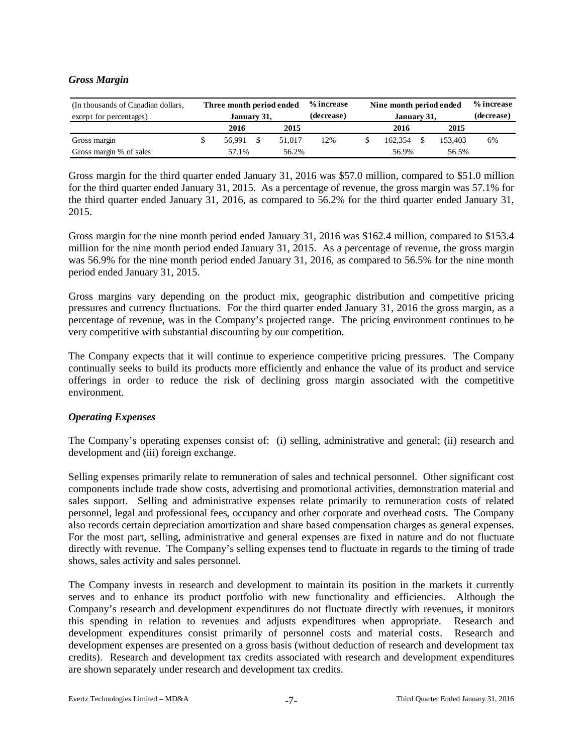### *Gross Margin*

| (In thousands of Canadian dollars, | Three month period ended |  |        | % increase | Nine month period ended |            | % increase |    |  |
|------------------------------------|--------------------------|--|--------|------------|-------------------------|------------|------------|----|--|
| except for percentages)            | January 31,              |  |        | (decrease) | January 31,             | (decrease) |            |    |  |
|                                    | 2016                     |  | 2015   |            | 2016                    |            | 2015       |    |  |
| Gross margin                       | 56.991                   |  | 51,017 | 12%        | 162,354                 |            | 153,403    | 6% |  |
| Gross margin % of sales            | 57.1%                    |  | 56.2%  |            | 56.9%                   |            | 56.5%      |    |  |

Gross margin for the third quarter ended January 31, 2016 was \$57.0 million, compared to \$51.0 million for the third quarter ended January 31, 2015. As a percentage of revenue, the gross margin was 57.1% for the third quarter ended January 31, 2016, as compared to 56.2% for the third quarter ended January 31, 2015.

Gross margin for the nine month period ended January 31, 2016 was \$162.4 million, compared to \$153.4 million for the nine month period ended January 31, 2015. As a percentage of revenue, the gross margin was 56.9% for the nine month period ended January 31, 2016, as compared to 56.5% for the nine month period ended January 31, 2015.

Gross margins vary depending on the product mix, geographic distribution and competitive pricing pressures and currency fluctuations. For the third quarter ended January 31, 2016 the gross margin, as a percentage of revenue, was in the Company's projected range. The pricing environment continues to be very competitive with substantial discounting by our competition.

The Company expects that it will continue to experience competitive pricing pressures. The Company continually seeks to build its products more efficiently and enhance the value of its product and service offerings in order to reduce the risk of declining gross margin associated with the competitive environment.

### *Operating Expenses*

The Company's operating expenses consist of: (i) selling, administrative and general; (ii) research and development and (iii) foreign exchange.

Selling expenses primarily relate to remuneration of sales and technical personnel. Other significant cost components include trade show costs, advertising and promotional activities, demonstration material and sales support. Selling and administrative expenses relate primarily to remuneration costs of related personnel, legal and professional fees, occupancy and other corporate and overhead costs. The Company also records certain depreciation amortization and share based compensation charges as general expenses. For the most part, selling, administrative and general expenses are fixed in nature and do not fluctuate directly with revenue. The Company's selling expenses tend to fluctuate in regards to the timing of trade shows, sales activity and sales personnel.

The Company invests in research and development to maintain its position in the markets it currently serves and to enhance its product portfolio with new functionality and efficiencies. Although the Company's research and development expenditures do not fluctuate directly with revenues, it monitors this spending in relation to revenues and adjusts expenditures when appropriate. Research and development expenditures consist primarily of personnel costs and material costs. Research and development expenses are presented on a gross basis (without deduction of research and development tax credits). Research and development tax credits associated with research and development expenditures are shown separately under research and development tax credits.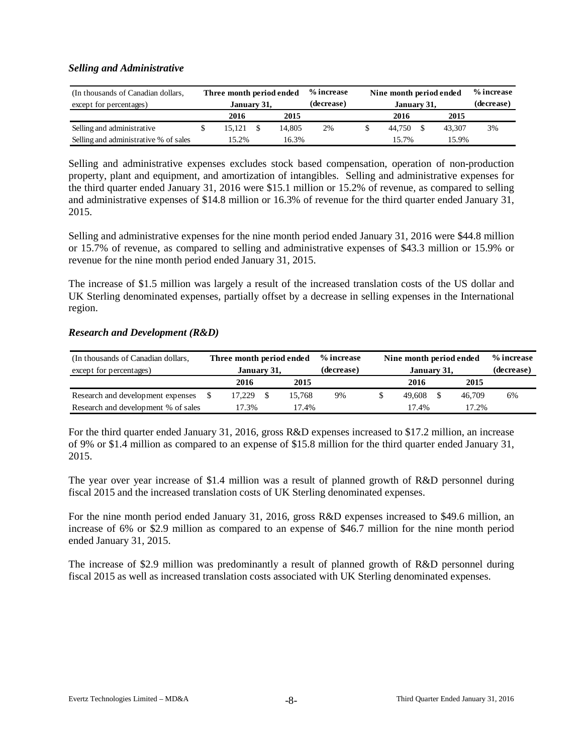### *Selling and Administrative*

| (In thousands of Canadian dollars,    | Three month period ended |             |      |        | % increase | Nine month period ended | % increase |            |
|---------------------------------------|--------------------------|-------------|------|--------|------------|-------------------------|------------|------------|
| except for percentages)               |                          | January 31, |      |        | (decrease) | January 31,             |            | (decrease) |
|                                       |                          | 2016        | 2015 |        |            | 2016                    | 2015       |            |
| Selling and administrative            |                          | 15.121      |      | 14.805 | 2%         | 44.750                  | 43.307     | 3%         |
| Selling and administrative % of sales |                          | 15.2%       |      | 16.3%  |            | 5.7%                    | 15.9%      |            |

Selling and administrative expenses excludes stock based compensation, operation of non-production property, plant and equipment, and amortization of intangibles. Selling and administrative expenses for the third quarter ended January 31, 2016 were \$15.1 million or 15.2% of revenue, as compared to selling and administrative expenses of \$14.8 million or 16.3% of revenue for the third quarter ended January 31, 2015.

Selling and administrative expenses for the nine month period ended January 31, 2016 were \$44.8 million or 15.7% of revenue, as compared to selling and administrative expenses of \$43.3 million or 15.9% or revenue for the nine month period ended January 31, 2015.

The increase of \$1.5 million was largely a result of the increased translation costs of the US dollar and UK Sterling denominated expenses, partially offset by a decrease in selling expenses in the International region.

### *Research and Development (R&D)*

| (In thousands of Canadian dollars,  | Three month period ended |  |        | % increase | Nine month period ended |        | % increase |
|-------------------------------------|--------------------------|--|--------|------------|-------------------------|--------|------------|
| except for percentages)             | January 31,              |  |        | (decrease) | January 31,             |        | (decrease) |
|                                     | 2015<br>2016             |  |        |            | 2016                    | 2015   |            |
| Research and development expenses   | 17.229                   |  | 15.768 | 9%         | 49.608                  | 46.709 | 6%         |
| Research and development % of sales | 17.3%                    |  | 17.4%  |            | 17.4%                   | 17.2%  |            |

For the third quarter ended January 31, 2016, gross R&D expenses increased to \$17.2 million, an increase of 9% or \$1.4 million as compared to an expense of \$15.8 million for the third quarter ended January 31, 2015.

The year over year increase of \$1.4 million was a result of planned growth of R&D personnel during fiscal 2015 and the increased translation costs of UK Sterling denominated expenses.

For the nine month period ended January 31, 2016, gross R&D expenses increased to \$49.6 million, an increase of 6% or \$2.9 million as compared to an expense of \$46.7 million for the nine month period ended January 31, 2015.

The increase of \$2.9 million was predominantly a result of planned growth of R&D personnel during fiscal 2015 as well as increased translation costs associated with UK Sterling denominated expenses.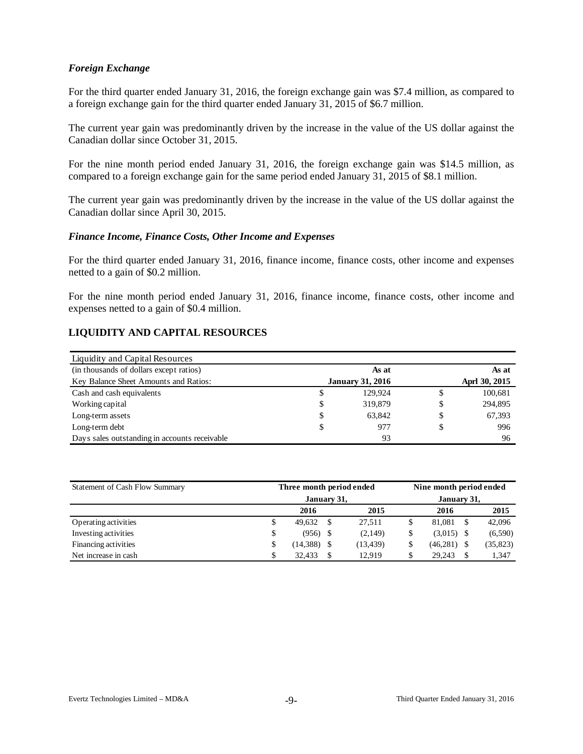### *Foreign Exchange*

For the third quarter ended January 31, 2016, the foreign exchange gain was \$7.4 million, as compared to a foreign exchange gain for the third quarter ended January 31, 2015 of \$6.7 million.

The current year gain was predominantly driven by the increase in the value of the US dollar against the Canadian dollar since October 31, 2015.

For the nine month period ended January 31, 2016, the foreign exchange gain was \$14.5 million, as compared to a foreign exchange gain for the same period ended January 31, 2015 of \$8.1 million.

The current year gain was predominantly driven by the increase in the value of the US dollar against the Canadian dollar since April 30, 2015.

#### *Finance Income, Finance Costs, Other Income and Expenses*

For the third quarter ended January 31, 2016, finance income, finance costs, other income and expenses netted to a gain of \$0.2 million.

For the nine month period ended January 31, 2016, finance income, finance costs, other income and expenses netted to a gain of \$0.4 million.

# **LIQUIDITY AND CAPITAL RESOURCES**

| Liquidity and Capital Resources               |                         |   |               |
|-----------------------------------------------|-------------------------|---|---------------|
| (in thousands of dollars except ratios)       | As at                   |   | As at         |
| Key Balance Sheet Amounts and Ratios:         | <b>January 31, 2016</b> |   | Aprl 30, 2015 |
| Cash and cash equivalents                     | \$<br>129.924           | S | 100,681       |
| Working capital                               | \$<br>319,879           | S | 294,895       |
| Long-term assets                              | \$<br>63.842            | S | 67,393        |
| Long-term debt                                | \$<br>977               | S | 996           |
| Days sales outstanding in accounts receivable | 93                      |   | 96            |

| Statement of Cash Flow Summary | Three month period ended | Nine month period ended |           |               |   |           |  |  |
|--------------------------------|--------------------------|-------------------------|-----------|---------------|---|-----------|--|--|
|                                | January 31,              | January 31,             |           |               |   |           |  |  |
|                                | 2016                     |                         | 2015      | 2016          |   | 2015      |  |  |
| Operating activities           | \$<br>49.632             | -S                      | 27,511    | 81.081        | S | 42,096    |  |  |
| Investing activities           | \$<br>(956)              | - \$                    | (2,149)   | $(3.015)$ \$  |   | (6,590)   |  |  |
| Financing activities           | \$<br>(14, 388)          |                         | (13, 439) | $(46,281)$ \$ |   | (35, 823) |  |  |
| Net increase in cash           | \$<br>32,433             |                         | 12.919    | 29.243        |   | 1,347     |  |  |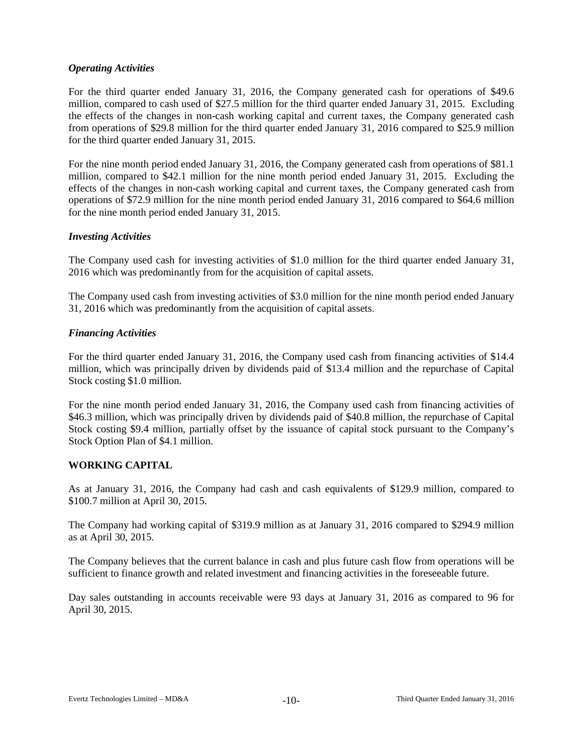### *Operating Activities*

For the third quarter ended January 31, 2016, the Company generated cash for operations of \$49.6 million, compared to cash used of \$27.5 million for the third quarter ended January 31, 2015. Excluding the effects of the changes in non-cash working capital and current taxes, the Company generated cash from operations of \$29.8 million for the third quarter ended January 31, 2016 compared to \$25.9 million for the third quarter ended January 31, 2015.

For the nine month period ended January 31, 2016, the Company generated cash from operations of \$81.1 million, compared to \$42.1 million for the nine month period ended January 31, 2015. Excluding the effects of the changes in non-cash working capital and current taxes, the Company generated cash from operations of \$72.9 million for the nine month period ended January 31, 2016 compared to \$64.6 million for the nine month period ended January 31, 2015.

### *Investing Activities*

The Company used cash for investing activities of \$1.0 million for the third quarter ended January 31, 2016 which was predominantly from for the acquisition of capital assets.

The Company used cash from investing activities of \$3.0 million for the nine month period ended January 31, 2016 which was predominantly from the acquisition of capital assets.

### *Financing Activities*

For the third quarter ended January 31, 2016, the Company used cash from financing activities of \$14.4 million, which was principally driven by dividends paid of \$13.4 million and the repurchase of Capital Stock costing \$1.0 million.

For the nine month period ended January 31, 2016, the Company used cash from financing activities of \$46.3 million, which was principally driven by dividends paid of \$40.8 million, the repurchase of Capital Stock costing \$9.4 million, partially offset by the issuance of capital stock pursuant to the Company's Stock Option Plan of \$4.1 million.

### **WORKING CAPITAL**

As at January 31, 2016, the Company had cash and cash equivalents of \$129.9 million, compared to \$100.7 million at April 30, 2015.

The Company had working capital of \$319.9 million as at January 31, 2016 compared to \$294.9 million as at April 30, 2015.

The Company believes that the current balance in cash and plus future cash flow from operations will be sufficient to finance growth and related investment and financing activities in the foreseeable future.

Day sales outstanding in accounts receivable were 93 days at January 31, 2016 as compared to 96 for April 30, 2015.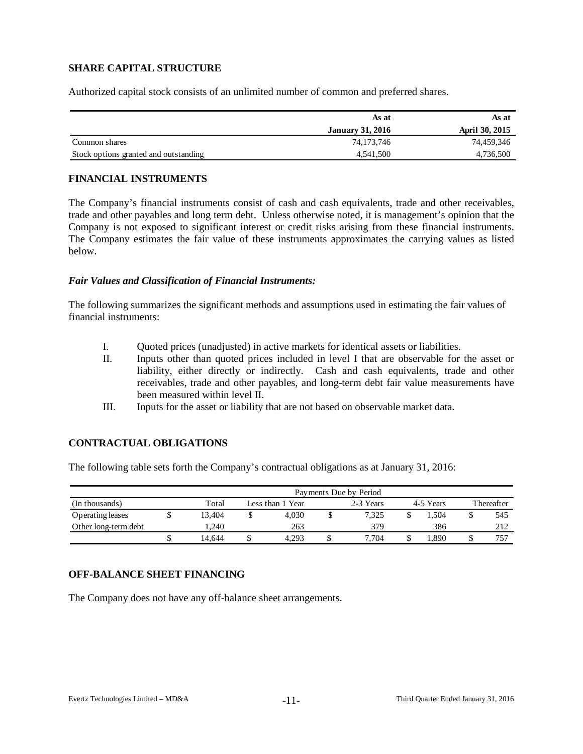# **SHARE CAPITAL STRUCTURE**

Authorized capital stock consists of an unlimited number of common and preferred shares.

|                                       | As at                   | As at          |
|---------------------------------------|-------------------------|----------------|
|                                       | <b>January 31, 2016</b> | April 30, 2015 |
| Common shares                         | 74,173,746              | 74,459,346     |
| Stock options granted and outstanding | 4,541,500               | 4,736,500      |

### **FINANCIAL INSTRUMENTS**

The Company's financial instruments consist of cash and cash equivalents, trade and other receivables, trade and other payables and long term debt. Unless otherwise noted, it is management's opinion that the Company is not exposed to significant interest or credit risks arising from these financial instruments. The Company estimates the fair value of these instruments approximates the carrying values as listed below.

### *Fair Values and Classification of Financial Instruments:*

The following summarizes the significant methods and assumptions used in estimating the fair values of financial instruments:

- I. Quoted prices (unadjusted) in active markets for identical assets or liabilities.
- II. Inputs other than quoted prices included in level I that are observable for the asset or liability, either directly or indirectly. Cash and cash equivalents, trade and other receivables, trade and other payables, and long-term debt fair value measurements have been measured within level II.
- III. Inputs for the asset or liability that are not based on observable market data.

### **CONTRACTUAL OBLIGATIONS**

The following table sets forth the Company's contractual obligations as at January 31, 2016:

|                      | Payments Due by Period |                  |           |  |            |  |      |  |     |  |  |  |  |  |
|----------------------|------------------------|------------------|-----------|--|------------|--|------|--|-----|--|--|--|--|--|
| (In thousands)       | Total                  | Less than 1 Year | 4-5 Years |  | Thereafter |  |      |  |     |  |  |  |  |  |
| Operating leases     | 13.404                 |                  | 4.030     |  | 7.325      |  | .504 |  | 545 |  |  |  |  |  |
| Other long-term debt | 1.240                  |                  | 263       |  | 379        |  | 386  |  | 212 |  |  |  |  |  |
|                      | 14.644                 | J                | 4.293     |  | 7.704      |  | .890 |  | 757 |  |  |  |  |  |

### **OFF-BALANCE SHEET FINANCING**

The Company does not have any off-balance sheet arrangements.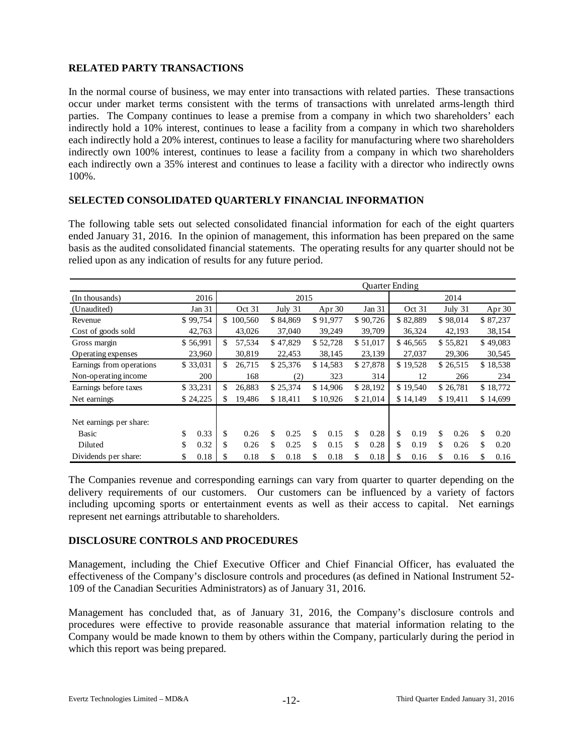# **RELATED PARTY TRANSACTIONS**

In the normal course of business, we may enter into transactions with related parties. These transactions occur under market terms consistent with the terms of transactions with unrelated arms-length third parties. The Company continues to lease a premise from a company in which two shareholders' each indirectly hold a 10% interest, continues to lease a facility from a company in which two shareholders each indirectly hold a 20% interest, continues to lease a facility for manufacturing where two shareholders indirectly own 100% interest, continues to lease a facility from a company in which two shareholders each indirectly own a 35% interest and continues to lease a facility with a director who indirectly owns 100%.

### **SELECTED CONSOLIDATED QUARTERLY FINANCIAL INFORMATION**

The following table sets out selected consolidated financial information for each of the eight quarters ended January 31, 2016. In the opinion of management, this information has been prepared on the same basis as the audited consolidated financial statements. The operating results for any quarter should not be relied upon as any indication of results for any future period.

|                          |            |                          |    |          |            | <b>Ouarter Ending</b> |    |          |    |          |    |          |
|--------------------------|------------|--------------------------|----|----------|------------|-----------------------|----|----------|----|----------|----|----------|
| (In thousands)           | 2016       |                          |    | 2015     |            |                       |    |          |    | 2014     |    |          |
| (Unaudited)              | Jan 31     | Oct 31                   |    | July 31  | Apr $30$   | Jan 31                |    | Oct 31   |    | July 31  |    | Apr 30   |
| Revenue                  | \$99,754   | \$<br>100,560            |    | \$84,869 | \$91,977   | \$90,726              |    | \$82,889 |    | \$98,014 |    | \$87,237 |
| Cost of goods sold       | 42,763     | 43,026                   |    | 37,040   | 39,249     | 39,709                |    | 36,324   |    | 42,193   |    | 38,154   |
| Gross margin             | \$56,991   | \$<br>57.534             |    | \$47,829 | \$52,728   | \$51,017              |    | \$46,565 |    | \$55,821 |    | \$49,083 |
| Operating expenses       | 23,960     | 30,819                   |    | 22,453   | 38,145     | 23,139                |    | 27,037   |    | 29,306   |    | 30,545   |
| Earnings from operations | \$33,031   | \$<br>26,715<br>\$25,376 |    | \$14,583 | \$27,878   | \$19,528              |    | \$26,515 |    | \$18,538 |    |          |
| Non-operating income     | 200        | 168                      |    | (2)      | 323        | 314                   |    | 12       |    | 266      |    | 234      |
| Earnings before taxes    | \$33,231   | \$<br>26,883             |    | \$25,374 | \$14,906   | \$28,192              |    | \$19,540 |    | \$26,781 |    | \$18,772 |
| Net earnings             | \$24,225   | \$<br>19,486             |    | \$18,411 | \$10,926   | \$21,014              |    | \$14,149 |    | \$19,411 |    | \$14,699 |
|                          |            |                          |    |          |            |                       |    |          |    |          |    |          |
| Net earnings per share:  |            |                          |    |          |            |                       |    |          |    |          |    |          |
| Basic                    | \$<br>0.33 | \$<br>0.26               | \$ | 0.25     | \$<br>0.15 | \$<br>0.28            | \$ | 0.19     | \$ | 0.26     | \$ | 0.20     |
| Diluted                  | \$<br>0.32 | \$<br>0.26               | \$ | 0.25     | \$<br>0.15 | \$<br>0.28            | \$ | 0.19     | \$ | 0.26     | \$ | 0.20     |
| Dividends per share:     | \$<br>0.18 | \$<br>0.18               | \$ | 0.18     | \$<br>0.18 | \$<br>0.18            | \$ | 0.16     | \$ | 0.16     | \$ | 0.16     |

The Companies revenue and corresponding earnings can vary from quarter to quarter depending on the delivery requirements of our customers. Our customers can be influenced by a variety of factors including upcoming sports or entertainment events as well as their access to capital. Net earnings represent net earnings attributable to shareholders.

#### **DISCLOSURE CONTROLS AND PROCEDURES**

Management, including the Chief Executive Officer and Chief Financial Officer, has evaluated the effectiveness of the Company's disclosure controls and procedures (as defined in National Instrument 52- 109 of the Canadian Securities Administrators) as of January 31, 2016.

Management has concluded that, as of January 31, 2016, the Company's disclosure controls and procedures were effective to provide reasonable assurance that material information relating to the Company would be made known to them by others within the Company, particularly during the period in which this report was being prepared.